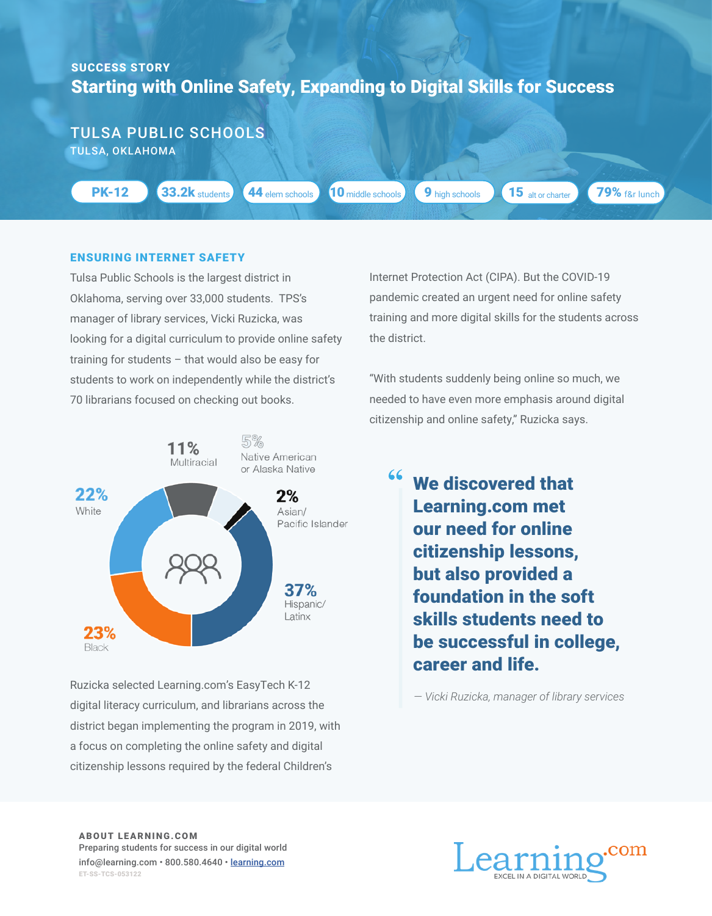## Starting with Online Safety, Expanding to Digital Skills for Success SUCCESS STORY

TULSA PUBLIC SCHOOLS TULSA, OKLAHOMA

PK-12

**33.2k** students 44 elem schools 10 middle schools

66

**9** high schools **15** alt or charter

79% f&r lunch

## ENSURING INTERNET SAFETY

Tulsa Public Schools is the largest district in Oklahoma, serving over 33,000 students. TPS's manager of library services, Vicki Ruzicka, was looking for a digital curriculum to provide online safety training for students – that would also be easy for students to work on independently while the district's 70 librarians focused on checking out books.



Ruzicka selected Learning.com's EasyTech K-12 digital literacy curriculum, and librarians across the district began implementing the program in 2019, with a focus on completing the online safety and digital citizenship lessons required by the federal Children's

Internet Protection Act (CIPA). But the COVID-19 pandemic created an urgent need for online safety training and more digital skills for the students across the district.

"With students suddenly being online so much, we needed to have even more emphasis around digital citizenship and online safety," Ruzicka says.

> We discovered that Learning.com met our need for online citizenship lessons, but also provided a foundation in the soft skills students need to be successful in college, career and life.

*— Vicki Ruzicka, manager of library services*

ABOUT LEARNING.COM Preparing students for success in our digital world info@learning.com • 800.580.4640 • learning.com ET-SS-TCS-053122